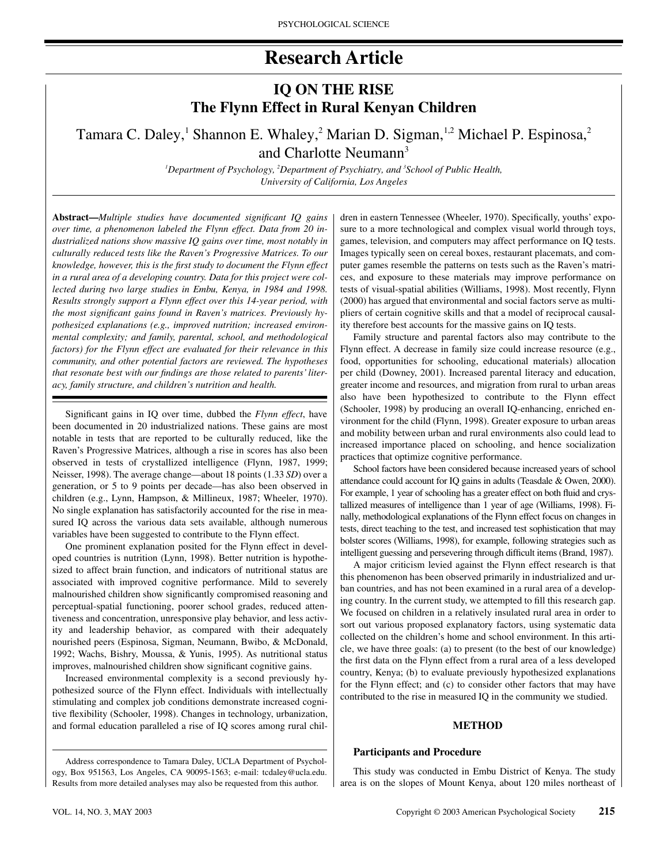# **Research Article**

# **IQ ON THE RISE The Flynn Effect in Rural Kenyan Children**

Tamara C. Daley,<sup>1</sup> Shannon E. Whaley,<sup>2</sup> Marian D. Sigman,<sup>1,2</sup> Michael P. Espinosa,<sup>2</sup> and Charlotte Neumann<sup>3</sup>

> *1 Department of Psychology, 2 Department of Psychiatry, and 3 School of Public Health, University of California, Los Angeles*

**Abstract—***Multiple studies have documented significant IQ gains over time, a phenomenon labeled the Flynn effect. Data from 20 industrialized nations show massive IQ gains over time, most notably in culturally reduced tests like the Raven's Progressive Matrices. To our knowledge, however, this is the first study to document the Flynn effect in a rural area of a developing country. Data for this project were collected during two large studies in Embu, Kenya, in 1984 and 1998. Results strongly support a Flynn effect over this 14-year period, with the most significant gains found in Raven's matrices. Previously hypothesized explanations (e.g., improved nutrition; increased environmental complexity; and family, parental, school, and methodological factors) for the Flynn effect are evaluated for their relevance in this community, and other potential factors are reviewed. The hypotheses that resonate best with our findings are those related to parents' literacy, family structure, and children's nutrition and health.*

Significant gains in IQ over time, dubbed the *Flynn effect*, have been documented in 20 industrialized nations. These gains are most notable in tests that are reported to be culturally reduced, like the Raven's Progressive Matrices, although a rise in scores has also been observed in tests of crystallized intelligence (Flynn, 1987, 1999; Neisser, 1998). The average change—about 18 points (1.33 *SD*) over a generation, or 5 to 9 points per decade—has also been observed in children (e.g., Lynn, Hampson, & Millineux, 1987; Wheeler, 1970). No single explanation has satisfactorily accounted for the rise in measured IQ across the various data sets available, although numerous variables have been suggested to contribute to the Flynn effect.

One prominent explanation posited for the Flynn effect in developed countries is nutrition (Lynn, 1998). Better nutrition is hypothesized to affect brain function, and indicators of nutritional status are associated with improved cognitive performance. Mild to severely malnourished children show significantly compromised reasoning and perceptual-spatial functioning, poorer school grades, reduced attentiveness and concentration, unresponsive play behavior, and less activity and leadership behavior, as compared with their adequately nourished peers (Espinosa, Sigman, Neumann, Bwibo, & McDonald, 1992; Wachs, Bishry, Moussa, & Yunis, 1995). As nutritional status improves, malnourished children show significant cognitive gains.

Increased environmental complexity is a second previously hypothesized source of the Flynn effect. Individuals with intellectually stimulating and complex job conditions demonstrate increased cognitive flexibility (Schooler, 1998). Changes in technology, urbanization, and formal education paralleled a rise of IQ scores among rural chil-

Address correspondence to Tamara Daley, UCLA Department of Psychology, Box 951563, Los Angeles, CA 90095-1563; e-mail: tcdaley@ucla.edu. Results from more detailed analyses may also be requested from this author.

dren in eastern Tennessee (Wheeler, 1970). Specifically, youths' exposure to a more technological and complex visual world through toys, games, television, and computers may affect performance on IQ tests. Images typically seen on cereal boxes, restaurant placemats, and computer games resemble the patterns on tests such as the Raven's matrices, and exposure to these materials may improve performance on tests of visual-spatial abilities (Williams, 1998). Most recently, Flynn (2000) has argued that environmental and social factors serve as multipliers of certain cognitive skills and that a model of reciprocal causality therefore best accounts for the massive gains on IQ tests.

Family structure and parental factors also may contribute to the Flynn effect. A decrease in family size could increase resource (e.g., food, opportunities for schooling, educational materials) allocation per child (Downey, 2001). Increased parental literacy and education, greater income and resources, and migration from rural to urban areas also have been hypothesized to contribute to the Flynn effect (Schooler, 1998) by producing an overall IQ-enhancing, enriched environment for the child (Flynn, 1998). Greater exposure to urban areas and mobility between urban and rural environments also could lead to increased importance placed on schooling, and hence socialization practices that optimize cognitive performance.

School factors have been considered because increased years of school attendance could account for IQ gains in adults (Teasdale & Owen, 2000). For example, 1 year of schooling has a greater effect on both fluid and crystallized measures of intelligence than 1 year of age (Williams, 1998). Finally, methodological explanations of the Flynn effect focus on changes in tests, direct teaching to the test, and increased test sophistication that may bolster scores (Williams, 1998), for example, following strategies such as intelligent guessing and persevering through difficult items (Brand, 1987).

A major criticism levied against the Flynn effect research is that this phenomenon has been observed primarily in industrialized and urban countries, and has not been examined in a rural area of a developing country. In the current study, we attempted to fill this research gap. We focused on children in a relatively insulated rural area in order to sort out various proposed explanatory factors, using systematic data collected on the children's home and school environment. In this article, we have three goals: (a) to present (to the best of our knowledge) the first data on the Flynn effect from a rural area of a less developed country, Kenya; (b) to evaluate previously hypothesized explanations for the Flynn effect; and (c) to consider other factors that may have contributed to the rise in measured IQ in the community we studied.

#### **METHOD**

# **Participants and Procedure**

This study was conducted in Embu District of Kenya. The study area is on the slopes of Mount Kenya, about 120 miles northeast of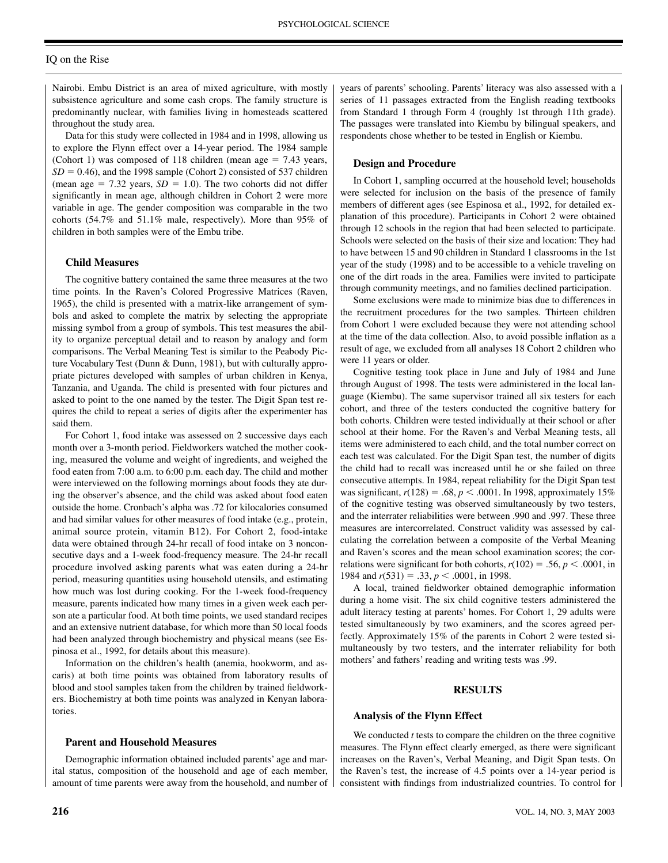# IQ on the Rise

Nairobi. Embu District is an area of mixed agriculture, with mostly subsistence agriculture and some cash crops. The family structure is predominantly nuclear, with families living in homesteads scattered throughout the study area.

Data for this study were collected in 1984 and in 1998, allowing us to explore the Flynn effect over a 14-year period. The 1984 sample (Cohort 1) was composed of 118 children (mean age  $= 7.43$  years,  $SD = 0.46$ ), and the 1998 sample (Cohort 2) consisted of 537 children (mean age  $= 7.32$  years,  $SD = 1.0$ ). The two cohorts did not differ significantly in mean age, although children in Cohort 2 were more variable in age. The gender composition was comparable in the two cohorts (54.7% and 51.1% male, respectively). More than 95% of children in both samples were of the Embu tribe.

# **Child Measures**

The cognitive battery contained the same three measures at the two time points. In the Raven's Colored Progressive Matrices (Raven, 1965), the child is presented with a matrix-like arrangement of symbols and asked to complete the matrix by selecting the appropriate missing symbol from a group of symbols. This test measures the ability to organize perceptual detail and to reason by analogy and form comparisons. The Verbal Meaning Test is similar to the Peabody Picture Vocabulary Test (Dunn & Dunn, 1981), but with culturally appropriate pictures developed with samples of urban children in Kenya, Tanzania, and Uganda. The child is presented with four pictures and asked to point to the one named by the tester. The Digit Span test requires the child to repeat a series of digits after the experimenter has said them.

For Cohort 1, food intake was assessed on 2 successive days each month over a 3-month period. Fieldworkers watched the mother cooking, measured the volume and weight of ingredients, and weighed the food eaten from 7:00 a.m. to 6:00 p.m. each day. The child and mother were interviewed on the following mornings about foods they ate during the observer's absence, and the child was asked about food eaten outside the home. Cronbach's alpha was .72 for kilocalories consumed and had similar values for other measures of food intake (e.g., protein, animal source protein, vitamin B12). For Cohort 2, food-intake data were obtained through 24-hr recall of food intake on 3 nonconsecutive days and a 1-week food-frequency measure. The 24-hr recall procedure involved asking parents what was eaten during a 24-hr period, measuring quantities using household utensils, and estimating how much was lost during cooking. For the 1-week food-frequency measure, parents indicated how many times in a given week each person ate a particular food. At both time points, we used standard recipes and an extensive nutrient database, for which more than 50 local foods had been analyzed through biochemistry and physical means (see Espinosa et al., 1992, for details about this measure).

Information on the children's health (anemia, hookworm, and ascaris) at both time points was obtained from laboratory results of blood and stool samples taken from the children by trained fieldworkers. Biochemistry at both time points was analyzed in Kenyan laboratories.

## **Parent and Household Measures**

Demographic information obtained included parents' age and marital status, composition of the household and age of each member, amount of time parents were away from the household, and number of years of parents' schooling. Parents' literacy was also assessed with a series of 11 passages extracted from the English reading textbooks from Standard 1 through Form 4 (roughly 1st through 11th grade). The passages were translated into Kiembu by bilingual speakers, and respondents chose whether to be tested in English or Kiembu.

#### **Design and Procedure**

In Cohort 1, sampling occurred at the household level; households were selected for inclusion on the basis of the presence of family members of different ages (see Espinosa et al., 1992, for detailed explanation of this procedure). Participants in Cohort 2 were obtained through 12 schools in the region that had been selected to participate. Schools were selected on the basis of their size and location: They had to have between 15 and 90 children in Standard 1 classrooms in the 1st year of the study (1998) and to be accessible to a vehicle traveling on one of the dirt roads in the area. Families were invited to participate through community meetings, and no families declined participation.

Some exclusions were made to minimize bias due to differences in the recruitment procedures for the two samples. Thirteen children from Cohort 1 were excluded because they were not attending school at the time of the data collection. Also, to avoid possible inflation as a result of age, we excluded from all analyses 18 Cohort 2 children who were 11 years or older.

Cognitive testing took place in June and July of 1984 and June through August of 1998. The tests were administered in the local language (Kiembu). The same supervisor trained all six testers for each cohort, and three of the testers conducted the cognitive battery for both cohorts. Children were tested individually at their school or after school at their home. For the Raven's and Verbal Meaning tests, all items were administered to each child, and the total number correct on each test was calculated. For the Digit Span test, the number of digits the child had to recall was increased until he or she failed on three consecutive attempts. In 1984, repeat reliability for the Digit Span test was significant,  $r(128) = .68$ ,  $p < .0001$ . In 1998, approximately 15% of the cognitive testing was observed simultaneously by two testers, and the interrater reliabilities were between .990 and .997. These three measures are intercorrelated. Construct validity was assessed by calculating the correlation between a composite of the Verbal Meaning and Raven's scores and the mean school examination scores; the correlations were significant for both cohorts,  $r(102) = .56$ ,  $p < .0001$ , in 1984 and  $r(531) = .33$ ,  $p < .0001$ , in 1998.

A local, trained fieldworker obtained demographic information during a home visit. The six child cognitive testers administered the adult literacy testing at parents' homes. For Cohort 1, 29 adults were tested simultaneously by two examiners, and the scores agreed perfectly. Approximately 15% of the parents in Cohort 2 were tested simultaneously by two testers, and the interrater reliability for both mothers' and fathers' reading and writing tests was .99.

# **RESULTS**

## **Analysis of the Flynn Effect**

We conducted *t* tests to compare the children on the three cognitive measures. The Flynn effect clearly emerged, as there were significant increases on the Raven's, Verbal Meaning, and Digit Span tests. On the Raven's test, the increase of 4.5 points over a 14-year period is consistent with findings from industrialized countries. To control for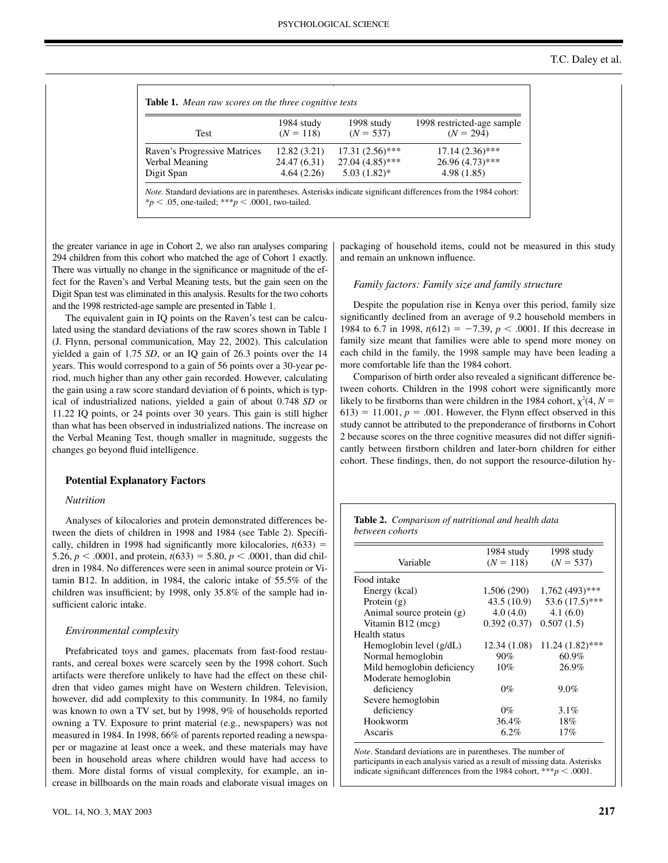|                              | 1984 study   | 1998 study        | 1998 restricted-age sample |
|------------------------------|--------------|-------------------|----------------------------|
| <b>Test</b>                  | $(N = 118)$  | $(N = 537)$       | $(N = 294)$                |
| Raven's Progressive Matrices | 12.82(3.21)  | $17.31(2.56)$ *** | $17.14(2.36)$ ***          |
| Verbal Meaning               | 24.47 (6.31) | $27.04(4.85)$ *** | $26.96(4.73)$ ***          |
| Digit Span                   | 4.64(2.26)   | $5.03(1.82)$ *    | 4.98(1.85)                 |

the greater variance in age in Cohort 2, we also ran analyses comparing 294 children from this cohort who matched the age of Cohort 1 exactly. There was virtually no change in the significance or magnitude of the effect for the Raven's and Verbal Meaning tests, but the gain seen on the Digit Span test was eliminated in this analysis. Results for the two cohorts and the 1998 restricted-age sample are presented in Table 1.

The equivalent gain in IQ points on the Raven's test can be calculated using the standard deviations of the raw scores shown in Table 1 (J. Flynn, personal communication, May 22, 2002). This calculation yielded a gain of 1.75 *SD*, or an IQ gain of 26.3 points over the 14 years. This would correspond to a gain of 56 points over a 30-year period, much higher than any other gain recorded. However, calculating the gain using a raw score standard deviation of 6 points, which is typical of industrialized nations, yielded a gain of about 0.748 *SD* or 11.22 IQ points, or 24 points over 30 years. This gain is still higher than what has been observed in industrialized nations. The increase on the Verbal Meaning Test, though smaller in magnitude, suggests the changes go beyond fluid intelligence.

# **Potential Explanatory Factors**

#### *Nutrition*

Analyses of kilocalories and protein demonstrated differences between the diets of children in 1998 and 1984 (see Table 2). Specifically, children in 1998 had significantly more kilocalories,  $t(633)$  = 5.26,  $p < .0001$ , and protein,  $t(633) = 5.80, p < .0001$ , than did children in 1984. No differences were seen in animal source protein or Vitamin B12. In addition, in 1984, the caloric intake of 55.5% of the children was insufficient; by 1998, only 35.8% of the sample had insufficient caloric intake.

# *Environmental complexity*

Prefabricated toys and games, placemats from fast-food restaurants, and cereal boxes were scarcely seen by the 1998 cohort. Such artifacts were therefore unlikely to have had the effect on these children that video games might have on Western children. Television, however, did add complexity to this community. In 1984, no family was known to own a TV set, but by 1998, 9% of households reported owning a TV. Exposure to print material (e.g., newspapers) was not measured in 1984. In 1998, 66% of parents reported reading a newspaper or magazine at least once a week, and these materials may have been in household areas where children would have had access to them. More distal forms of visual complexity, for example, an increase in billboards on the main roads and elaborate visual images on packaging of household items, could not be measured in this study and remain an unknown influence.

#### *Family factors: Family size and family structure*

Despite the population rise in Kenya over this period, family size significantly declined from an average of 9.2 household members in 1984 to 6.7 in 1998,  $t(612) = -7.39$ ,  $p < .0001$ . If this decrease in family size meant that families were able to spend more money on each child in the family, the 1998 sample may have been leading a more comfortable life than the 1984 cohort.

Comparison of birth order also revealed a significant difference between cohorts. Children in the 1998 cohort were significantly more likely to be firstborns than were children in the 1984 cohort,  $\chi^2(4, N =$  $(613) = 11.001$ ,  $p = .001$ . However, the Flynn effect observed in this study cannot be attributed to the preponderance of firstborns in Cohort 2 because scores on the three cognitive measures did not differ significantly between firstborn children and later-born children for either cohort. These findings, then, do not support the resource-dilution hy-

|                 | <b>Table 2.</b> Comparison of nutritional and health data |  |
|-----------------|-----------------------------------------------------------|--|
| between cohorts |                                                           |  |

|                            | 1984 study   | 1998 study        |
|----------------------------|--------------|-------------------|
| Variable                   | $(N = 118)$  | $(N = 537)$       |
| Food intake                |              |                   |
| Energy (kcal)              | 1,506 (290)  | $1,762(493)$ ***  |
| Protein $(g)$              | 43.5 (10.9)  | 53.6 $(17.5)$ *** |
| Animal source protein (g)  | 4.0(4.0)     | 4.1(6.0)          |
| Vitamin B12 (mcg)          | 0.392(0.37)  | 0.507(1.5)        |
| Health status              |              |                   |
| Hemoglobin level $(g/dL)$  | 12.34 (1.08) | $11.24(1.82)$ *** |
| Normal hemoglobin          | 90%          | 60.9%             |
| Mild hemoglobin deficiency | 10%          | 26.9%             |
| Moderate hemoglobin        |              |                   |
| deficiency                 | $0\%$        | $9.0\%$           |
| Severe hemoglobin          |              |                   |
| deficiency                 | $0\%$        | $3.1\%$           |
| Hookworm                   | 36.4%        | 18%               |
| Ascaris                    | 6.2%         | 17%               |

*Note*. Standard deviations are in parentheses. The number of participants in each analysis varied as a result of missing data. Asterisks indicate significant differences from the 1984 cohort,  $**p < .0001$ .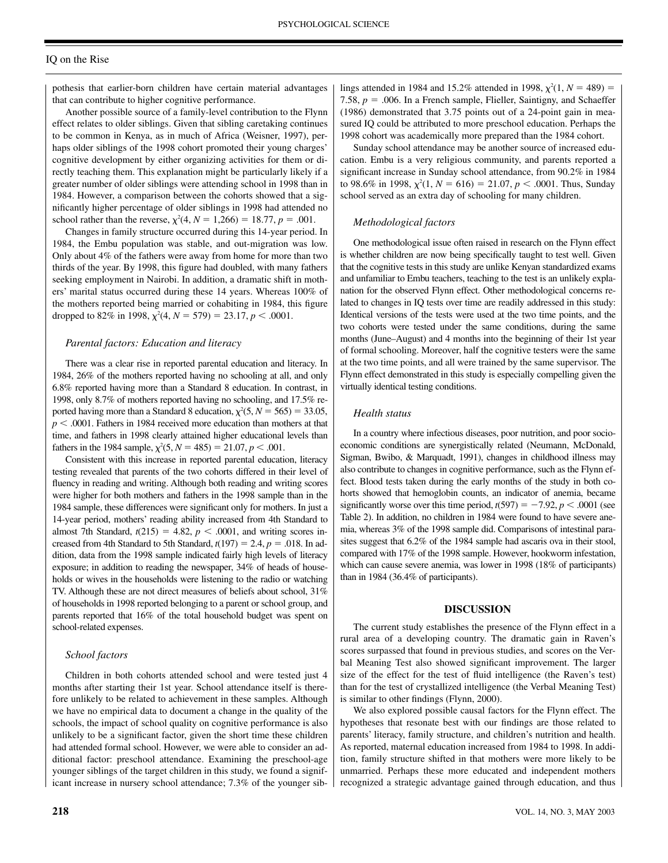# IQ on the Rise

pothesis that earlier-born children have certain material advantages that can contribute to higher cognitive performance.

Another possible source of a family-level contribution to the Flynn effect relates to older siblings. Given that sibling caretaking continues to be common in Kenya, as in much of Africa (Weisner, 1997), perhaps older siblings of the 1998 cohort promoted their young charges' cognitive development by either organizing activities for them or directly teaching them. This explanation might be particularly likely if a greater number of older siblings were attending school in 1998 than in 1984. However, a comparison between the cohorts showed that a significantly higher percentage of older siblings in 1998 had attended no school rather than the reverse,  $\chi^2(4, N = 1,266) = 18.77, p = .001$ .

Changes in family structure occurred during this 14-year period. In 1984, the Embu population was stable, and out-migration was low. Only about 4% of the fathers were away from home for more than two thirds of the year. By 1998, this figure had doubled, with many fathers seeking employment in Nairobi. In addition, a dramatic shift in mothers' marital status occurred during these 14 years. Whereas 100% of the mothers reported being married or cohabiting in 1984, this figure dropped to 82% in 1998,  $\chi^2(4, N = 579) = 23.17, p < .0001$ .

#### *Parental factors: Education and literacy*

There was a clear rise in reported parental education and literacy. In 1984, 26% of the mothers reported having no schooling at all, and only 6.8% reported having more than a Standard 8 education. In contrast, in 1998, only 8.7% of mothers reported having no schooling, and 17.5% reported having more than a Standard 8 education,  $\chi^2(5, N = 565) = 33.05$ ,  $p < .0001$ . Fathers in 1984 received more education than mothers at that time, and fathers in 1998 clearly attained higher educational levels than fathers in the 1984 sample,  $\chi^2(5, N = 485) = 21.07, p < .001$ .

Consistent with this increase in reported parental education, literacy testing revealed that parents of the two cohorts differed in their level of fluency in reading and writing. Although both reading and writing scores were higher for both mothers and fathers in the 1998 sample than in the 1984 sample, these differences were significant only for mothers. In just a 14-year period, mothers' reading ability increased from 4th Standard to almost 7th Standard,  $t(215) = 4.82$ ,  $p < .0001$ , and writing scores increased from 4th Standard to 5th Standard,  $t(197) = 2.4$ ,  $p = .018$ . In addition, data from the 1998 sample indicated fairly high levels of literacy exposure; in addition to reading the newspaper, 34% of heads of households or wives in the households were listening to the radio or watching TV. Although these are not direct measures of beliefs about school, 31% of households in 1998 reported belonging to a parent or school group, and parents reported that 16% of the total household budget was spent on school-related expenses.

#### *School factors*

Children in both cohorts attended school and were tested just 4 months after starting their 1st year. School attendance itself is therefore unlikely to be related to achievement in these samples. Although we have no empirical data to document a change in the quality of the schools, the impact of school quality on cognitive performance is also unlikely to be a significant factor, given the short time these children had attended formal school. However, we were able to consider an additional factor: preschool attendance. Examining the preschool-age younger siblings of the target children in this study, we found a significant increase in nursery school attendance; 7.3% of the younger sib-

lings attended in 1984 and 15.2% attended in 1998,  $\chi^2(1, N = 489)$  = 7.58,  $p = 0.006$ . In a French sample, Flieller, Saintigny, and Schaeffer (1986) demonstrated that 3.75 points out of a 24-point gain in measured IQ could be attributed to more preschool education. Perhaps the 1998 cohort was academically more prepared than the 1984 cohort.

Sunday school attendance may be another source of increased education. Embu is a very religious community, and parents reported a significant increase in Sunday school attendance, from 90.2% in 1984 to 98.6% in 1998,  $\chi^2(1, N = 616) = 21.07, p < .0001$ . Thus, Sunday school served as an extra day of schooling for many children.

# *Methodological factors*

One methodological issue often raised in research on the Flynn effect is whether children are now being specifically taught to test well. Given that the cognitive tests in this study are unlike Kenyan standardized exams and unfamiliar to Embu teachers, teaching to the test is an unlikely explanation for the observed Flynn effect. Other methodological concerns related to changes in IQ tests over time are readily addressed in this study: Identical versions of the tests were used at the two time points, and the two cohorts were tested under the same conditions, during the same months (June–August) and 4 months into the beginning of their 1st year of formal schooling. Moreover, half the cognitive testers were the same at the two time points, and all were trained by the same supervisor. The Flynn effect demonstrated in this study is especially compelling given the virtually identical testing conditions.

#### *Health status*

In a country where infectious diseases, poor nutrition, and poor socioeconomic conditions are synergistically related (Neumann, McDonald, Sigman, Bwibo, & Marquadt, 1991), changes in childhood illness may also contribute to changes in cognitive performance, such as the Flynn effect. Blood tests taken during the early months of the study in both cohorts showed that hemoglobin counts, an indicator of anemia, became significantly worse over this time period,  $t(597) = -7.92$ ,  $p < .0001$  (see Table 2). In addition, no children in 1984 were found to have severe anemia, whereas 3% of the 1998 sample did. Comparisons of intestinal parasites suggest that 6.2% of the 1984 sample had ascaris ova in their stool, compared with 17% of the 1998 sample. However, hookworm infestation, which can cause severe anemia, was lower in 1998 (18% of participants) than in 1984 (36.4% of participants).

#### **DISCUSSION**

The current study establishes the presence of the Flynn effect in a rural area of a developing country. The dramatic gain in Raven's scores surpassed that found in previous studies, and scores on the Verbal Meaning Test also showed significant improvement. The larger size of the effect for the test of fluid intelligence (the Raven's test) than for the test of crystallized intelligence (the Verbal Meaning Test) is similar to other findings (Flynn, 2000).

We also explored possible causal factors for the Flynn effect. The hypotheses that resonate best with our findings are those related to parents' literacy, family structure, and children's nutrition and health. As reported, maternal education increased from 1984 to 1998. In addition, family structure shifted in that mothers were more likely to be unmarried. Perhaps these more educated and independent mothers recognized a strategic advantage gained through education, and thus